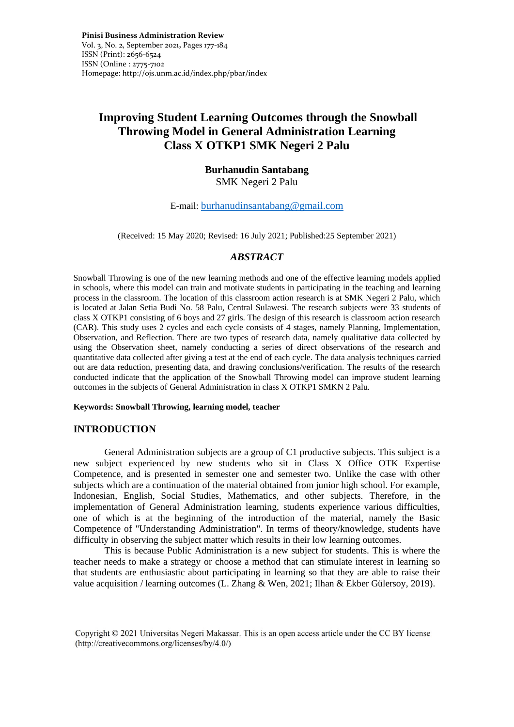**Pinisi Business Administration Review**  Vol. 3, No. 2, September 2021**,** Pages 177-184 ISSN (Print): 2656-6524 ISSN (Online : 2775-7102 Homepage: http://ojs.unm.ac.id/index.php/pbar/index

# **Improving Student Learning Outcomes through the Snowball Throwing Model in General Administration Learning Class X OTKP1 SMK Negeri 2 Palu**

## **Burhanudin Santabang**  SMK Negeri 2 Palu

### E-mail: [burhanudinsantabang@gmail.com](mailto:burhanudinsantabang@gmail.com)

(Received: 15 May 2020; Revised: 16 July 2021; Published:25 September 2021)

### *ABSTRACT*

Snowball Throwing is one of the new learning methods and one of the effective learning models applied in schools, where this model can train and motivate students in participating in the teaching and learning process in the classroom. The location of this classroom action research is at SMK Negeri 2 Palu, which is located at Jalan Setia Budi No. 58 Palu, Central Sulawesi. The research subjects were 33 students of class X OTKP1 consisting of 6 boys and 27 girls. The design of this research is classroom action research (CAR). This study uses 2 cycles and each cycle consists of 4 stages, namely Planning, Implementation, Observation, and Reflection. There are two types of research data, namely qualitative data collected by using the Observation sheet, namely conducting a series of direct observations of the research and quantitative data collected after giving a test at the end of each cycle. The data analysis techniques carried out are data reduction, presenting data, and drawing conclusions/verification. The results of the research conducted indicate that the application of the Snowball Throwing model can improve student learning outcomes in the subjects of General Administration in class X OTKP1 SMKN 2 Palu.

**Keywords: Snowball Throwing, learning model, teacher**

### **INTRODUCTION**

General Administration subjects are a group of C1 productive subjects. This subject is a new subject experienced by new students who sit in Class X Office OTK Expertise Competence, and is presented in semester one and semester two. Unlike the case with other subjects which are a continuation of the material obtained from junior high school. For example, Indonesian, English, Social Studies, Mathematics, and other subjects. Therefore, in the implementation of General Administration learning, students experience various difficulties, one of which is at the beginning of the introduction of the material, namely the Basic Competence of "Understanding Administration". In terms of theory/knowledge, students have difficulty in observing the subject matter which results in their low learning outcomes.

This is because Public Administration is a new subject for students. This is where the teacher needs to make a strategy or choose a method that can stimulate interest in learning so that students are enthusiastic about participating in learning so that they are able to raise their value acquisition / learning outcomes (L. Zhang & Wen, 2021; Ilhan & Ekber Gülersoy, 2019).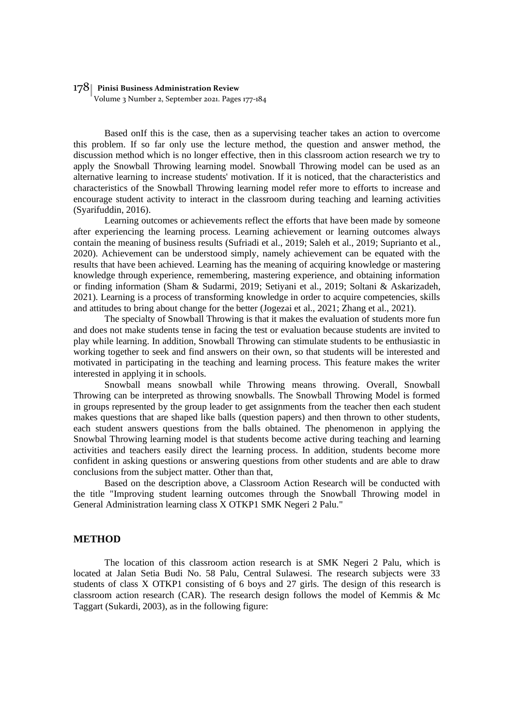### 178 **Pinisi Business Administration Review**

Volume 3 Number 2, September 2021. Pages 177-184

Based onIf this is the case, then as a supervising teacher takes an action to overcome this problem. If so far only use the lecture method, the question and answer method, the discussion method which is no longer effective, then in this classroom action research we try to apply the Snowball Throwing learning model. Snowball Throwing model can be used as an alternative learning to increase students' motivation. If it is noticed, that the characteristics and characteristics of the Snowball Throwing learning model refer more to efforts to increase and encourage student activity to interact in the classroom during teaching and learning activities (Syarifuddin, 2016).

Learning outcomes or achievements reflect the efforts that have been made by someone after experiencing the learning process. Learning achievement or learning outcomes always contain the meaning of business results (Sufriadi et al., 2019; Saleh et al., 2019; Suprianto et al., 2020). Achievement can be understood simply, namely achievement can be equated with the results that have been achieved. Learning has the meaning of acquiring knowledge or mastering knowledge through experience, remembering, mastering experience, and obtaining information or finding information (Sham & Sudarmi, 2019; Setiyani et al., 2019; Soltani & Askarizadeh, 2021). Learning is a process of transforming knowledge in order to acquire competencies, skills and attitudes to bring about change for the better (Jogezai et al., 2021; Zhang et al., 2021).

The specialty of Snowball Throwing is that it makes the evaluation of students more fun and does not make students tense in facing the test or evaluation because students are invited to play while learning. In addition, Snowball Throwing can stimulate students to be enthusiastic in working together to seek and find answers on their own, so that students will be interested and motivated in participating in the teaching and learning process. This feature makes the writer interested in applying it in schools.

Snowball means snowball while Throwing means throwing. Overall, Snowball Throwing can be interpreted as throwing snowballs. The Snowball Throwing Model is formed in groups represented by the group leader to get assignments from the teacher then each student makes questions that are shaped like balls (question papers) and then thrown to other students, each student answers questions from the balls obtained. The phenomenon in applying the Snowbal Throwing learning model is that students become active during teaching and learning activities and teachers easily direct the learning process. In addition, students become more confident in asking questions or answering questions from other students and are able to draw conclusions from the subject matter. Other than that,

Based on the description above, a Classroom Action Research will be conducted with the title "Improving student learning outcomes through the Snowball Throwing model in General Administration learning class X OTKP1 SMK Negeri 2 Palu."

#### **METHOD**

The location of this classroom action research is at SMK Negeri 2 Palu, which is located at Jalan Setia Budi No. 58 Palu, Central Sulawesi. The research subjects were 33 students of class X OTKP1 consisting of 6 boys and 27 girls. The design of this research is classroom action research (CAR). The research design follows the model of Kemmis & Mc Taggart (Sukardi, 2003), as in the following figure: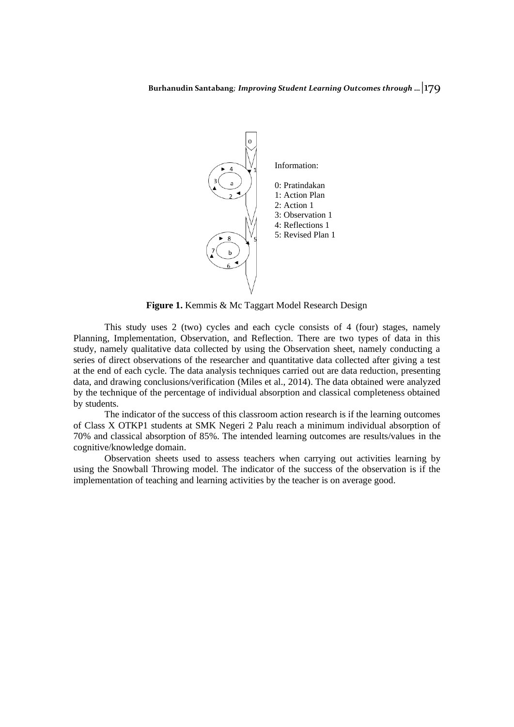

**Figure 1.** Kemmis & Mc Taggart Model Research Design

This study uses 2 (two) cycles and each cycle consists of 4 (four) stages, namely Planning, Implementation, Observation, and Reflection. There are two types of data in this study, namely qualitative data collected by using the Observation sheet, namely conducting a series of direct observations of the researcher and quantitative data collected after giving a test at the end of each cycle. The data analysis techniques carried out are data reduction, presenting data, and drawing conclusions/verification (Miles et al., 2014). The data obtained were analyzed by the technique of the percentage of individual absorption and classical completeness obtained by students.

The indicator of the success of this classroom action research is if the learning outcomes of Class X OTKP1 students at SMK Negeri 2 Palu reach a minimum individual absorption of 70% and classical absorption of 85%. The intended learning outcomes are results/values in the cognitive/knowledge domain.

Observation sheets used to assess teachers when carrying out activities learning by using the Snowball Throwing model. The indicator of the success of the observation is if the implementation of teaching and learning activities by the teacher is on average good.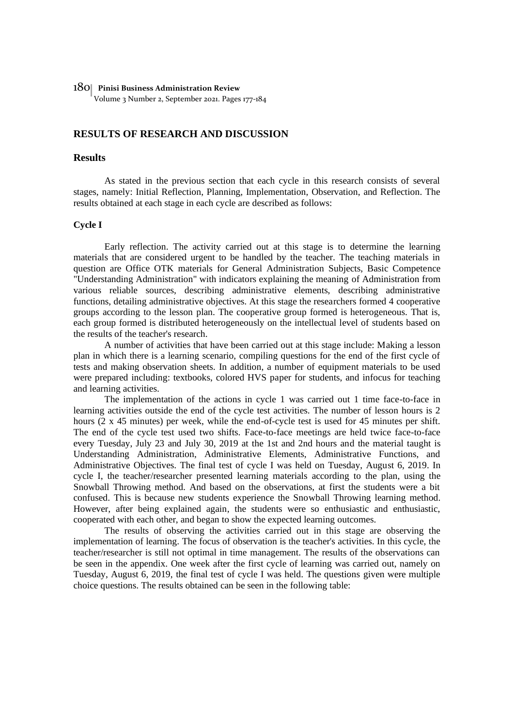#### 180 **Pinisi Business Administration Review**

Volume 3 Number 2, September 2021. Pages 177-184

### **RESULTS OF RESEARCH AND DISCUSSION**

#### **Results**

As stated in the previous section that each cycle in this research consists of several stages, namely: Initial Reflection, Planning, Implementation, Observation, and Reflection. The results obtained at each stage in each cycle are described as follows:

#### **Cycle I**

Early reflection. The activity carried out at this stage is to determine the learning materials that are considered urgent to be handled by the teacher. The teaching materials in question are Office OTK materials for General Administration Subjects, Basic Competence "Understanding Administration" with indicators explaining the meaning of Administration from various reliable sources, describing administrative elements, describing administrative functions, detailing administrative objectives. At this stage the researchers formed 4 cooperative groups according to the lesson plan. The cooperative group formed is heterogeneous. That is, each group formed is distributed heterogeneously on the intellectual level of students based on the results of the teacher's research.

A number of activities that have been carried out at this stage include: Making a lesson plan in which there is a learning scenario, compiling questions for the end of the first cycle of tests and making observation sheets. In addition, a number of equipment materials to be used were prepared including: textbooks, colored HVS paper for students, and infocus for teaching and learning activities.

The implementation of the actions in cycle 1 was carried out 1 time face-to-face in learning activities outside the end of the cycle test activities. The number of lesson hours is 2 hours (2 x 45 minutes) per week, while the end-of-cycle test is used for 45 minutes per shift. The end of the cycle test used two shifts. Face-to-face meetings are held twice face-to-face every Tuesday, July 23 and July 30, 2019 at the 1st and 2nd hours and the material taught is Understanding Administration, Administrative Elements, Administrative Functions, and Administrative Objectives. The final test of cycle I was held on Tuesday, August 6, 2019. In cycle I, the teacher/researcher presented learning materials according to the plan, using the Snowball Throwing method. And based on the observations, at first the students were a bit confused. This is because new students experience the Snowball Throwing learning method. However, after being explained again, the students were so enthusiastic and enthusiastic, cooperated with each other, and began to show the expected learning outcomes.

The results of observing the activities carried out in this stage are observing the implementation of learning. The focus of observation is the teacher's activities. In this cycle, the teacher/researcher is still not optimal in time management. The results of the observations can be seen in the appendix. One week after the first cycle of learning was carried out, namely on Tuesday, August 6, 2019, the final test of cycle I was held. The questions given were multiple choice questions. The results obtained can be seen in the following table: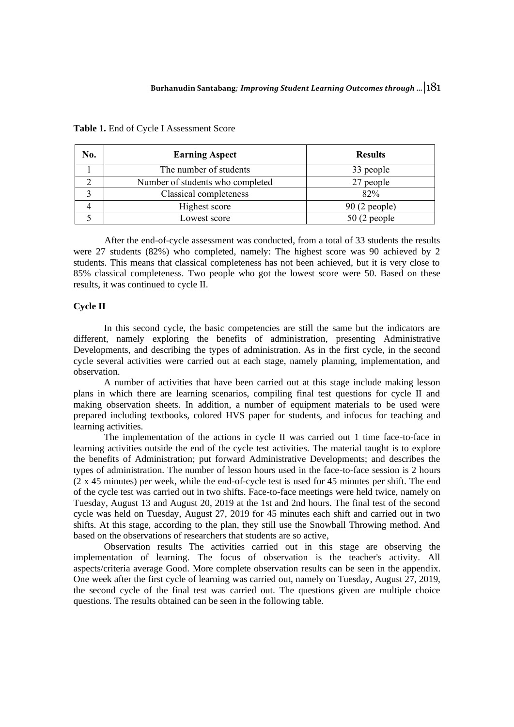| No. | <b>Earning Aspect</b>            | <b>Results</b> |  |
|-----|----------------------------------|----------------|--|
|     | The number of students           | 33 people      |  |
|     | Number of students who completed | 27 people      |  |
|     | Classical completeness           | 82%            |  |
|     | Highest score                    | $90(2$ people) |  |
|     | Lowest score                     | $50(2$ people  |  |

#### **Table 1.** End of Cycle I Assessment Score

After the end-of-cycle assessment was conducted, from a total of 33 students the results were 27 students (82%) who completed, namely: The highest score was 90 achieved by 2 students. This means that classical completeness has not been achieved, but it is very close to 85% classical completeness. Two people who got the lowest score were 50. Based on these results, it was continued to cycle II.

### **Cycle II**

In this second cycle, the basic competencies are still the same but the indicators are different, namely exploring the benefits of administration, presenting Administrative Developments, and describing the types of administration. As in the first cycle, in the second cycle several activities were carried out at each stage, namely planning, implementation, and observation.

A number of activities that have been carried out at this stage include making lesson plans in which there are learning scenarios, compiling final test questions for cycle II and making observation sheets. In addition, a number of equipment materials to be used were prepared including textbooks, colored HVS paper for students, and infocus for teaching and learning activities.

The implementation of the actions in cycle II was carried out 1 time face-to-face in learning activities outside the end of the cycle test activities. The material taught is to explore the benefits of Administration; put forward Administrative Developments; and describes the types of administration. The number of lesson hours used in the face-to-face session is 2 hours (2 x 45 minutes) per week, while the end-of-cycle test is used for 45 minutes per shift. The end of the cycle test was carried out in two shifts. Face-to-face meetings were held twice, namely on Tuesday, August 13 and August 20, 2019 at the 1st and 2nd hours. The final test of the second cycle was held on Tuesday, August 27, 2019 for 45 minutes each shift and carried out in two shifts. At this stage, according to the plan, they still use the Snowball Throwing method. And based on the observations of researchers that students are so active,

Observation results The activities carried out in this stage are observing the implementation of learning. The focus of observation is the teacher's activity. All aspects/criteria average Good. More complete observation results can be seen in the appendix. One week after the first cycle of learning was carried out, namely on Tuesday, August 27, 2019, the second cycle of the final test was carried out. The questions given are multiple choice questions. The results obtained can be seen in the following table.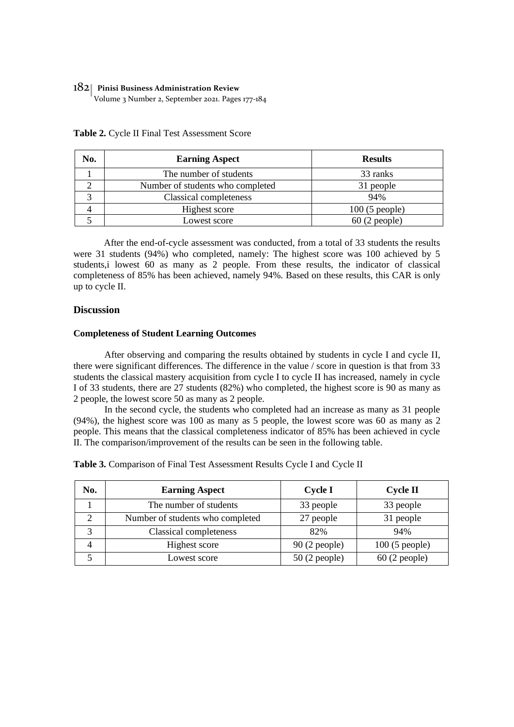### 182 **Pinisi Business Administration Review**

Volume 3 Number 2, September 2021. Pages 177-184

| No. | <b>Earning Aspect</b>            | <b>Results</b>  |
|-----|----------------------------------|-----------------|
|     | The number of students           | 33 ranks        |
|     | Number of students who completed | 31 people       |
|     | Classical completeness           | 94%             |
|     | Highest score                    | $100(5$ people) |
|     | Lowest score                     | $60(2$ people)  |

**Table 2.** Cycle II Final Test Assessment Score

After the end-of-cycle assessment was conducted, from a total of 33 students the results were 31 students (94%) who completed, namely: The highest score was 100 achieved by 5 students,i lowest 60 as many as 2 people. From these results, the indicator of classical completeness of 85% has been achieved, namely 94%. Based on these results, this CAR is only up to cycle II.

### **Discussion**

#### **Completeness of Student Learning Outcomes**

After observing and comparing the results obtained by students in cycle I and cycle II, there were significant differences. The difference in the value / score in question is that from 33 students the classical mastery acquisition from cycle I to cycle II has increased, namely in cycle I of 33 students, there are 27 students (82%) who completed, the highest score is 90 as many as 2 people, the lowest score 50 as many as 2 people.

In the second cycle, the students who completed had an increase as many as 31 people (94%), the highest score was 100 as many as 5 people, the lowest score was 60 as many as 2 people. This means that the classical completeness indicator of 85% has been achieved in cycle II. The comparison/improvement of the results can be seen in the following table.

| No. | <b>Earning Aspect</b>            | <b>Cycle I</b> | <b>Cycle II</b> |
|-----|----------------------------------|----------------|-----------------|
|     | The number of students           | 33 people      | 33 people       |
|     | Number of students who completed | 27 people      | 31 people       |
|     | Classical completeness           | 82%            | 94%             |
| 4   | Highest score                    | $90(2$ people) | $100(5$ people) |
|     | Lowest score                     | $50(2$ people) | $60(2$ people)  |

**Table 3.** Comparison of Final Test Assessment Results Cycle I and Cycle II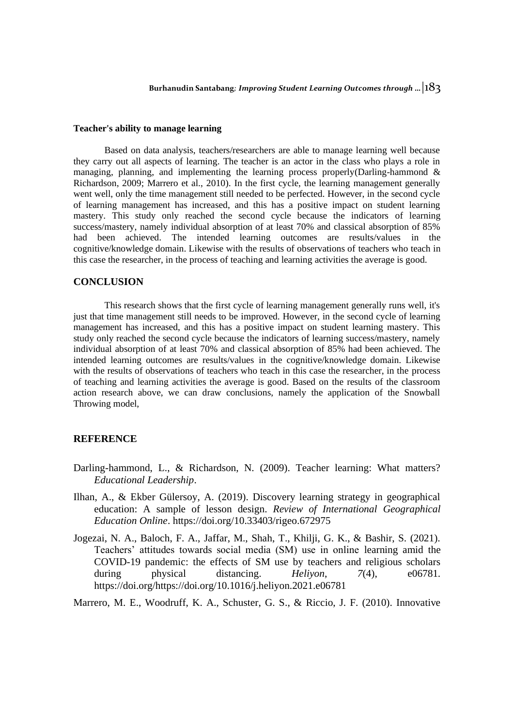### **Teacher's ability to manage learning**

Based on data analysis, teachers/researchers are able to manage learning well because they carry out all aspects of learning. The teacher is an actor in the class who plays a role in managing, planning, and implementing the learning process properly(Darling-hammond  $\&$ Richardson, 2009; Marrero et al., 2010). In the first cycle, the learning management generally went well, only the time management still needed to be perfected. However, in the second cycle of learning management has increased, and this has a positive impact on student learning mastery. This study only reached the second cycle because the indicators of learning success/mastery, namely individual absorption of at least 70% and classical absorption of 85% had been achieved. The intended learning outcomes are results/values in the cognitive/knowledge domain. Likewise with the results of observations of teachers who teach in this case the researcher, in the process of teaching and learning activities the average is good.

### **CONCLUSION**

This research shows that the first cycle of learning management generally runs well, it's just that time management still needs to be improved. However, in the second cycle of learning management has increased, and this has a positive impact on student learning mastery. This study only reached the second cycle because the indicators of learning success/mastery, namely individual absorption of at least 70% and classical absorption of 85% had been achieved. The intended learning outcomes are results/values in the cognitive/knowledge domain. Likewise with the results of observations of teachers who teach in this case the researcher, in the process of teaching and learning activities the average is good. Based on the results of the classroom action research above, we can draw conclusions, namely the application of the Snowball Throwing model,

### **REFERENCE**

- Darling-hammond, L., & Richardson, N. (2009). Teacher learning: What matters? *Educational Leadership*.
- Ilhan, A., & Ekber Gülersoy, A. (2019). Discovery learning strategy in geographical education: A sample of lesson design. *Review of International Geographical Education Online*. https://doi.org/10.33403/rigeo.672975
- Jogezai, N. A., Baloch, F. A., Jaffar, M., Shah, T., Khilji, G. K., & Bashir, S. (2021). Teachers' attitudes towards social media (SM) use in online learning amid the COVID-19 pandemic: the effects of SM use by teachers and religious scholars during physical distancing. *Heliyon*, *7*(4), e06781. https://doi.org/https://doi.org/10.1016/j.heliyon.2021.e06781

Marrero, M. E., Woodruff, K. A., Schuster, G. S., & Riccio, J. F. (2010). Innovative